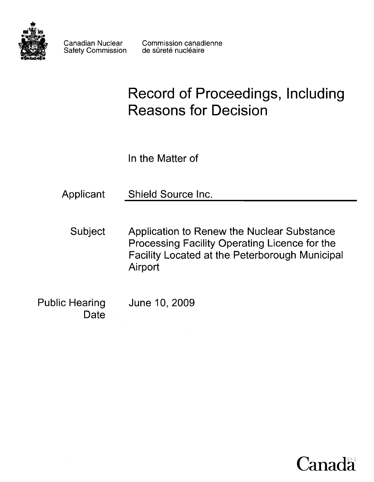

Safety Commission

# **Record of Proceedings, Including Reasons for Decision**

In the Matter of

Applicant Shield Source Inc.

Subject Application to Renew the Nuclear Substance Processing Facility Operating Licence for the Facility Located at the Peterborough Municipal Airport

Public Hearing June 10,2009 **Date** 

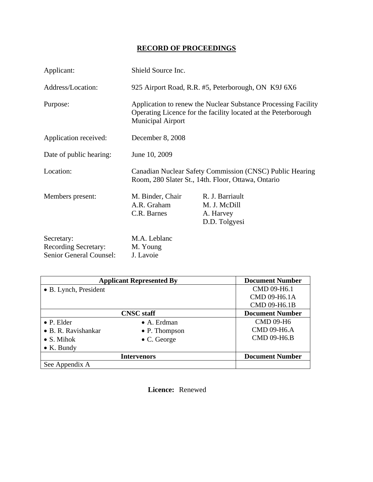## **RECORD OF PROCEEDINGS**

| Applicant:                                                           | Shield Source Inc.                                                                                                                                           |                                                               |  |
|----------------------------------------------------------------------|--------------------------------------------------------------------------------------------------------------------------------------------------------------|---------------------------------------------------------------|--|
| Address/Location:                                                    | 925 Airport Road, R.R. #5, Peterborough, ON K9J 6X6                                                                                                          |                                                               |  |
| Purpose:                                                             | Application to renew the Nuclear Substance Processing Facility<br>Operating Licence for the facility located at the Peterborough<br><b>Municipal Airport</b> |                                                               |  |
| Application received:                                                | December 8, 2008                                                                                                                                             |                                                               |  |
| Date of public hearing:                                              | June 10, 2009                                                                                                                                                |                                                               |  |
| Location:                                                            | Canadian Nuclear Safety Commission (CNSC) Public Hearing<br>Room, 280 Slater St., 14th. Floor, Ottawa, Ontario                                               |                                                               |  |
| Members present:                                                     | M. Binder, Chair<br>A.R. Graham<br>C.R. Barnes                                                                                                               | R. J. Barriault<br>M. J. McDill<br>A. Harvey<br>D.D. Tolgyesi |  |
| Secretary:<br><b>Recording Secretary:</b><br>Senior General Counsel: | M.A. Leblanc<br>M. Young<br>J. Lavoie                                                                                                                        |                                                               |  |

| <b>Applicant Represented By</b> |                       | <b>Document Number</b> |
|---------------------------------|-----------------------|------------------------|
| • B. Lynch, President           |                       | CMD 09-H6.1            |
|                                 |                       | CMD 09-H6.1A           |
|                                 |                       | CMD 09-H6.1B           |
| <b>CNSC</b> staff               |                       | <b>Document Number</b> |
| $\bullet$ P. Elder              | $\bullet$ A. Erdman   | <b>CMD 09-H6</b>       |
| • B. R. Ravishankar             | $\bullet$ P. Thompson | <b>CMD 09-H6.A</b>     |
| $\bullet$ S. Mihok              | $\bullet$ C. George   | <b>CMD 09-H6.B</b>     |
| $\bullet$ K. Bundy              |                       |                        |
| <b>Intervenors</b>              |                       | <b>Document Number</b> |
| See Appendix A                  |                       |                        |

 **Licence:** Renewed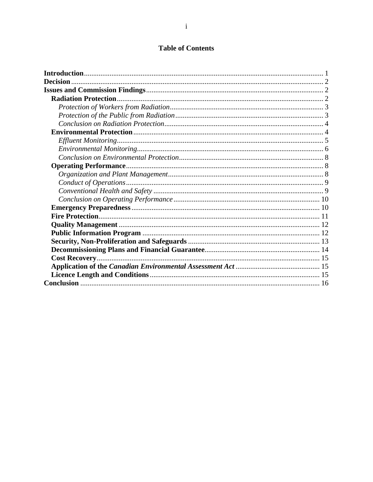## **Table of Contents**

| <b>Decision</b> |  |
|-----------------|--|
|                 |  |
|                 |  |
|                 |  |
|                 |  |
|                 |  |
|                 |  |
|                 |  |
|                 |  |
|                 |  |
|                 |  |
|                 |  |
|                 |  |
|                 |  |
|                 |  |
|                 |  |
|                 |  |
|                 |  |
|                 |  |
|                 |  |
|                 |  |
|                 |  |
|                 |  |
|                 |  |
|                 |  |
|                 |  |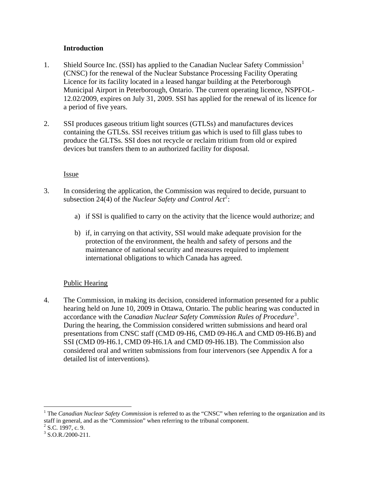#### **Introduction**

- <span id="page-3-0"></span>[1](#page-3-1). Shield Source Inc. (SSI) has applied to the Canadian Nuclear Safety Commission<sup>1</sup> (CNSC) for the renewal of the Nuclear Substance Processing Facility Operating Licence for its facility located in a leased hangar building at the Peterborough Municipal Airport in Peterborough, Ontario. The current operating licence, NSPFOL-12.02/2009, expires on July 31, 2009. SSI has applied for the renewal of its licence for a period of five years.
- 2. SSI produces gaseous tritium light sources (GTLSs) and manufactures devices containing the GTLSs. SSI receives tritium gas which is used to fill glass tubes to produce the GLTSs. SSI does not recycle or reclaim tritium from old or expired devices but transfers them to an authorized facility for disposal.

#### Issue

- 3. In considering the application, the Commission was required to decide, pursuant to subsection [2](#page-3-2)4(4) of the *Nuclear Safety and Control Act*<sup>2</sup>:
	- a) if SSI is qualified to carry on the activity that the licence would authorize; and
	- b) if, in carrying on that activity, SSI would make adequate provision for the protection of the environment, the health and safety of persons and the maintenance of national security and measures required to implement international obligations to which Canada has agreed.

## Public Hearing

4. The Commission, in making its decision, considered information presented for a public hearing held on June 10, 2009 in Ottawa, Ontario. The public hearing was conducted in accordance with the *Canadian Nuclear Safety Commission Rules of Procedure*<sup>[3](#page-3-3)</sup>. During the hearing, the Commission considered written submissions and heard oral presentations from CNSC staff (CMD 09-H6, CMD 09-H6.A and CMD 09-H6.B) and SSI (CMD 09-H6.1, CMD 09-H6.1A and CMD 09-H6.1B). The Commission also considered oral and written submissions from four intervenors (see Appendix A for a detailed list of interventions).

<span id="page-3-1"></span><sup>&</sup>lt;sup>1</sup> The *Canadian Nuclear Safety Commission* is referred to as the "CNSC" when referring to the organization and its staff in general, and as the "Commission" when referring to the tribunal component.

<span id="page-3-2"></span> $2$  S.C. 1997, c. 9.

<span id="page-3-3"></span> $3$  S.O.R./2000-211.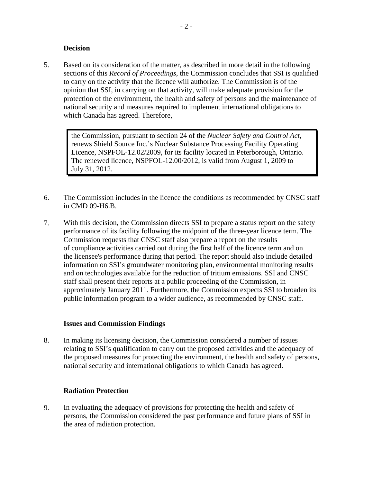#### **Decision**

<span id="page-4-0"></span>5. Based on its consideration of the matter, as described in more detail in the following sections of this *Record of Proceedings*, the Commission concludes that SSI is qualified to carry on the activity that the licence will authorize. The Commission is of the opinion that SSI, in carrying on that activity, will make adequate provision for the protection of the environment, the health and safety of persons and the maintenance of national security and measures required to implement international obligations to which Canada has agreed. Therefore,

the Commission, pursuant to section 24 of the *Nuclear Safety and Control Act*, renews Shield Source Inc.'s Nuclear Substance Processing Facility Operating Licence, NSPFOL-12.02/2009, for its facility located in Peterborough, Ontario. The renewed licence, NSPFOL-12.00/2012, is valid from August 1, 2009 to July 31, 2012.

- 6. The Commission includes in the licence the conditions as recommended by CNSC staff in CMD 09-H6.B.
- 7. With this decision, the Commission directs SSI to prepare a status report on the safety performance of its facility following the midpoint of the three-year licence term. The Commission requests that CNSC staff also prepare a report on the results of compliance activities carried out during the first half of the licence term and on the licensee's performance during that period. The report should also include detailed information on SSI's groundwater monitoring plan, environmental monitoring results and on technologies available for the reduction of tritium emissions. SSI and CNSC staff shall present their reports at a public proceeding of the Commission, in approximately January 2011. Furthermore, the Commission expects SSI to broaden its public information program to a wider audience, as recommended by CNSC staff.

#### **Issues and Commission Findings**

8. In making its licensing decision, the Commission considered a number of issues relating to SSI's qualification to carry out the proposed activities and the adequacy of the proposed measures for protecting the environment, the health and safety of persons, national security and international obligations to which Canada has agreed.

#### **Radiation Protection**

9. In evaluating the adequacy of provisions for protecting the health and safety of persons, the Commission considered the past performance and future plans of SSI in the area of radiation protection.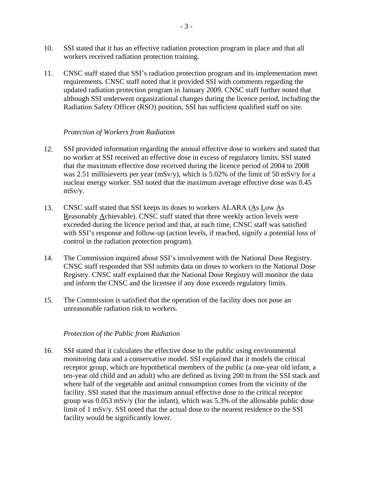- <span id="page-5-0"></span>10. SSI stated that it has an effective radiation protection program in place and that all workers received radiation protection training.
- 11. CNSC staff stated that SSI's radiation protection program and its implementation meet requirements. CNSC staff noted that it provided SSI with comments regarding the updated radiation protection program in January 2009. CNSC staff further noted that although SSI underwent organizational changes during the licence period, including the Radiation Safety Officer (RSO) position, SSI has sufficient qualified staff on site.

#### *Protection of Workers from Radiation*

- 12. SSI provided information regarding the annual effective dose to workers and stated that no worker at SSI received an effective dose in excess of regulatory limits. SSI stated that the maximum effective dose received during the licence period of 2004 to 2008 was 2.51 millisieverts per year (mSv/y), which is 5.02% of the limit of 50 mSv/y for a nuclear energy worker. SSI noted that the maximum average effective dose was 0.45 mSv/y.
- 13. CNSC staff stated that SSI keeps its doses to workers ALARA (As Low As Reasonably Achievable). CNSC staff stated that three weekly action levels were exceeded during the licence period and that, at each time, CNSC staff was satisfied with SSI's response and follow-up (action levels, if reached, signify a potential loss of control in the radiation protection program).
- 14. The Commission inquired about SSI's involvement with the National Dose Registry. CNSC staff responded that SSI submits data on doses to workers to the National Dose Registry. CNSC staff explained that the National Dose Registry will monitor the data and inform the CNSC and the licensee if any dose exceeds regulatory limits.
- 15. The Commission is satisfied that the operation of the facility does not pose an unreasonable radiation risk to workers.

#### *Protection of the Public from Radiation*

16. SSI stated that it calculates the effective dose to the public using environmental monitoring data and a conservative model. SSI explained that it models the critical receptor group, which are hypothetical members of the public (a one-year old infant, a ten-year old child and an adult) who are defined as living 200 m from the SSI stack and where half of the vegetable and animal consumption comes from the vicinity of the facility. SSI stated that the maximum annual effective dose to the critical receptor group was 0.053 mSv/y (for the infant), which was 5.3% of the allowable public dose limit of 1 mSv/y. SSI noted that the actual dose to the nearest residence to the SSI facility would be significantly lower.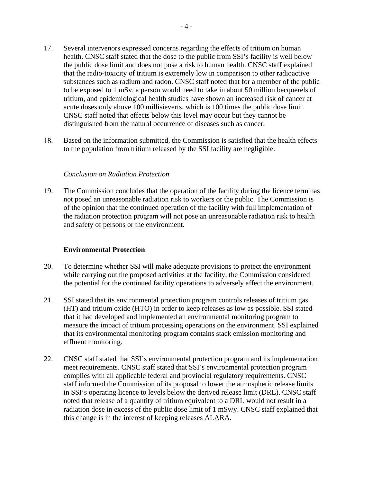- <span id="page-6-0"></span>17. Several intervenors expressed concerns regarding the effects of tritium on human health. CNSC staff stated that the dose to the public from SSI's facility is well below the public dose limit and does not pose a risk to human health. CNSC staff explained that the radio-toxicity of tritium is extremely low in comparison to other radioactive substances such as radium and radon. CNSC staff noted that for a member of the public to be exposed to 1 mSv, a person would need to take in about 50 million becquerels of tritium, and epidemiological health studies have shown an increased risk of cancer at acute doses only above 100 millisieverts, which is 100 times the public dose limit. CNSC staff noted that effects below this level may occur but they cannot be distinguished from the natural occurrence of diseases such as cancer.
- 18. Based on the information submitted, the Commission is satisfied that the health effects to the population from tritium released by the SSI facility are negligible.

#### *Conclusion on Radiation Protection*

19. The Commission concludes that the operation of the facility during the licence term has not posed an unreasonable radiation risk to workers or the public. The Commission is of the opinion that the continued operation of the facility with full implementation of the radiation protection program will not pose an unreasonable radiation risk to health and safety of persons or the environment.

#### **Environmental Protection**

- 20. To determine whether SSI will make adequate provisions to protect the environment while carrying out the proposed activities at the facility, the Commission considered the potential for the continued facility operations to adversely affect the environment.
- 21. SSI stated that its environmental protection program controls releases of tritium gas (HT) and tritium oxide (HTO) in order to keep releases as low as possible. SSI stated that it had developed and implemented an environmental monitoring program to measure the impact of tritium processing operations on the environment. SSI explained that its environmental monitoring program contains stack emission monitoring and effluent monitoring.
- 22. CNSC staff stated that SSI's environmental protection program and its implementation meet requirements. CNSC staff stated that SSI's environmental protection program complies with all applicable federal and provincial regulatory requirements. CNSC staff informed the Commission of its proposal to lower the atmospheric release limits in SSI's operating licence to levels below the derived release limit (DRL). CNSC staff noted that release of a quantity of tritium equivalent to a DRL would not result in a radiation dose in excess of the public dose limit of 1 mSv/y. CNSC staff explained that this change is in the interest of keeping releases ALARA.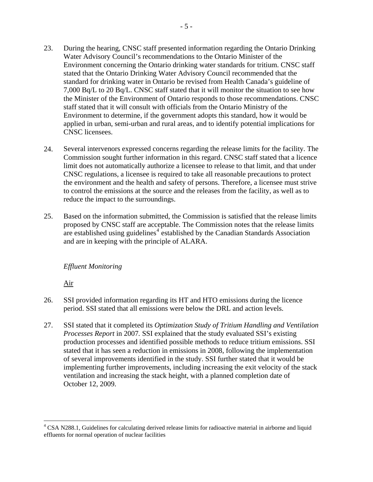- <span id="page-7-0"></span>23. During the hearing, CNSC staff presented information regarding the Ontario Drinking Water Advisory Council's recommendations to the Ontario Minister of the Environment concerning the Ontario drinking water standards for tritium. CNSC staff stated that the Ontario Drinking Water Advisory Council recommended that the standard for drinking water in Ontario be revised from Health Canada's guideline of 7,000 Bq/L to 20 Bq/L. CNSC staff stated that it will monitor the situation to see how the Minister of the Environment of Ontario responds to those recommendations. CNSC staff stated that it will consult with officials from the Ontario Ministry of the Environment to determine, if the government adopts this standard, how it would be applied in urban, semi-urban and rural areas, and to identify potential implications for CNSC licensees.
- 24. Several intervenors expressed concerns regarding the release limits for the facility. The Commission sought further information in this regard. CNSC staff stated that a licence limit does not automatically authorize a licensee to release to that limit, and that under CNSC regulations, a licensee is required to take all reasonable precautions to protect the environment and the health and safety of persons. Therefore, a licensee must strive to control the emissions at the source and the releases from the facility, as well as to reduce the impact to the surroundings.
- 25. Based on the information submitted, the Commission is satisfied that the release limits proposed by CNSC staff are acceptable. The Commission notes that the release limits are established using guidelines $4 \text{ established}$  $4 \text{ established}$  by the Canadian Standards Association and are in keeping with the principle of ALARA.

#### *Effluent Monitoring*

Air

- 26. SSI provided information regarding its HT and HTO emissions during the licence period. SSI stated that all emissions were below the DRL and action levels.
- 27. SSI stated that it completed its *Optimization Study of Tritium Handling and Ventilation Processes Report* in 2007*.* SSI explained that the study evaluated SSI's existing production processes and identified possible methods to reduce tritium emissions. SSI stated that it has seen a reduction in emissions in 2008, following the implementation of several improvements identified in the study. SSI further stated that it would be implementing further improvements, including increasing the exit velocity of the stack ventilation and increasing the stack height, with a planned completion date of October 12, 2009.

<span id="page-7-1"></span><sup>&</sup>lt;sup>4</sup> CSA N288.1, Guidelines for calculating derived release limits for radioactive material in airborne and liquid effluents for normal operation of nuclear facilities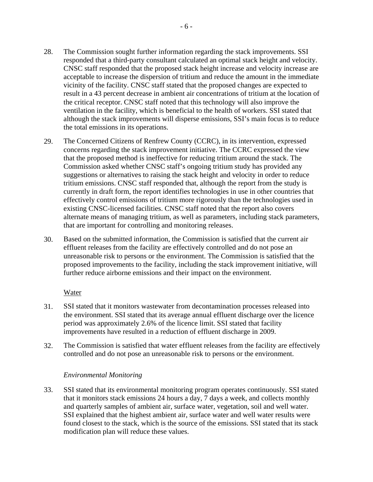- <span id="page-8-0"></span>28. The Commission sought further information regarding the stack improvements. SSI responded that a third-party consultant calculated an optimal stack height and velocity. CNSC staff responded that the proposed stack height increase and velocity increase are acceptable to increase the dispersion of tritium and reduce the amount in the immediate vicinity of the facility. CNSC staff stated that the proposed changes are expected to result in a 43 percent decrease in ambient air concentrations of tritium at the location of the critical receptor. CNSC staff noted that this technology will also improve the ventilation in the facility, which is beneficial to the health of workers. SSI stated that although the stack improvements will disperse emissions, SSI's main focus is to reduce the total emissions in its operations.
- 29. The Concerned Citizens of Renfrew County (CCRC), in its intervention, expressed concerns regarding the stack improvement initiative. The CCRC expressed the view that the proposed method is ineffective for reducing tritium around the stack. The Commission asked whether CNSC staff's ongoing tritium study has provided any suggestions or alternatives to raising the stack height and velocity in order to reduce tritium emissions. CNSC staff responded that, although the report from the study is currently in draft form, the report identifies technologies in use in other countries that effectively control emissions of tritium more rigorously than the technologies used in existing CNSC-licensed facilities. CNSC staff noted that the report also covers alternate means of managing tritium, as well as parameters, including stack parameters, that are important for controlling and monitoring releases.
- 30. Based on the submitted information, the Commission is satisfied that the current air effluent releases from the facility are effectively controlled and do not pose an unreasonable risk to persons or the environment. The Commission is satisfied that the proposed improvements to the facility, including the stack improvement initiative, will further reduce airborne emissions and their impact on the environment.

#### Water

- 31. SSI stated that it monitors wastewater from decontamination processes released into the environment. SSI stated that its average annual effluent discharge over the licence period was approximately 2.6% of the licence limit. SSI stated that facility improvements have resulted in a reduction of effluent discharge in 2009.
- 32. The Commission is satisfied that water effluent releases from the facility are effectively controlled and do not pose an unreasonable risk to persons or the environment.

#### *Environmental Monitoring*

33. SSI stated that its environmental monitoring program operates continuously. SSI stated that it monitors stack emissions 24 hours a day, 7 days a week, and collects monthly and quarterly samples of ambient air, surface water, vegetation, soil and well water. SSI explained that the highest ambient air, surface water and well water results were found closest to the stack, which is the source of the emissions. SSI stated that its stack modification plan will reduce these values.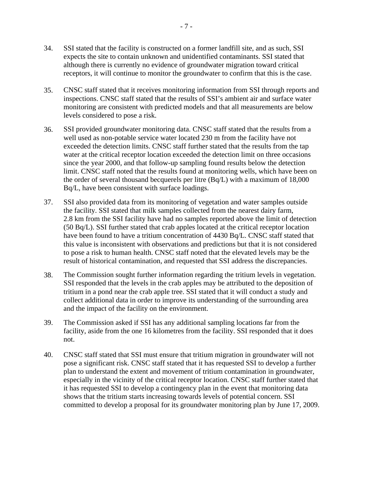- 34. SSI stated that the facility is constructed on a former landfill site, and as such, SSI expects the site to contain unknown and unidentified contaminants. SSI stated that although there is currently no evidence of groundwater migration toward critical receptors, it will continue to monitor the groundwater to confirm that this is the case.
- 35. CNSC staff stated that it receives monitoring information from SSI through reports and inspections. CNSC staff stated that the results of SSI's ambient air and surface water monitoring are consistent with predicted models and that all measurements are below levels considered to pose a risk.
- 36. SSI provided groundwater monitoring data. CNSC staff stated that the results from a well used as non-potable service water located 230 m from the facility have not exceeded the detection limits. CNSC staff further stated that the results from the tap water at the critical receptor location exceeded the detection limit on three occasions since the year 2000, and that follow-up sampling found results below the detection limit. CNSC staff noted that the results found at monitoring wells, which have been on the order of several thousand becquerels per litre (Bq/L) with a maximum of 18,000 Bq/L, have been consistent with surface loadings.
- 37. SSI also provided data from its monitoring of vegetation and water samples outside the facility. SSI stated that milk samples collected from the nearest dairy farm, 2.8 km from the SSI facility have had no samples reported above the limit of detection (50 Bq/L). SSI further stated that crab apples located at the critical receptor location have been found to have a tritium concentration of 4430 Bq/L. CNSC staff stated that this value is inconsistent with observations and predictions but that it is not considered to pose a risk to human health. CNSC staff noted that the elevated levels may be the result of historical contamination, and requested that SSI address the discrepancies.
- 38. The Commission sought further information regarding the tritium levels in vegetation. SSI responded that the levels in the crab apples may be attributed to the deposition of tritium in a pond near the crab apple tree. SSI stated that it will conduct a study and collect additional data in order to improve its understanding of the surrounding area and the impact of the facility on the environment.
- 39. The Commission asked if SSI has any additional sampling locations far from the facility, aside from the one 16 kilometres from the facility. SSI responded that it does not.
- 40. CNSC staff stated that SSI must ensure that tritium migration in groundwater will not pose a significant risk. CNSC staff stated that it has requested SSI to develop a further plan to understand the extent and movement of tritium contamination in groundwater, especially in the vicinity of the critical receptor location. CNSC staff further stated that it has requested SSI to develop a contingency plan in the event that monitoring data shows that the tritium starts increasing towards levels of potential concern. SSI committed to develop a proposal for its groundwater monitoring plan by June 17, 2009.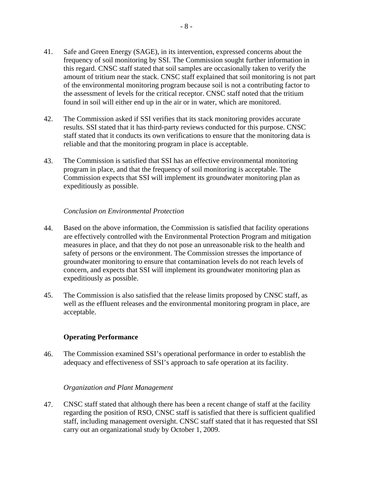- <span id="page-10-0"></span>41. Safe and Green Energy (SAGE), in its intervention, expressed concerns about the frequency of soil monitoring by SSI. The Commission sought further information in this regard. CNSC staff stated that soil samples are occasionally taken to verify the amount of tritium near the stack. CNSC staff explained that soil monitoring is not part of the environmental monitoring program because soil is not a contributing factor to the assessment of levels for the critical receptor. CNSC staff noted that the tritium found in soil will either end up in the air or in water, which are monitored.
- 42. The Commission asked if SSI verifies that its stack monitoring provides accurate results. SSI stated that it has third-party reviews conducted for this purpose. CNSC staff stated that it conducts its own verifications to ensure that the monitoring data is reliable and that the monitoring program in place is acceptable.
- 43. The Commission is satisfied that SSI has an effective environmental monitoring program in place, and that the frequency of soil monitoring is acceptable. The Commission expects that SSI will implement its groundwater monitoring plan as expeditiously as possible.

#### *Conclusion on Environmental Protection*

- 44. Based on the above information, the Commission is satisfied that facility operations are effectively controlled with the Environmental Protection Program and mitigation measures in place, and that they do not pose an unreasonable risk to the health and safety of persons or the environment. The Commission stresses the importance of groundwater monitoring to ensure that contamination levels do not reach levels of concern, and expects that SSI will implement its groundwater monitoring plan as expeditiously as possible.
- 45. The Commission is also satisfied that the release limits proposed by CNSC staff, as well as the effluent releases and the environmental monitoring program in place, are acceptable.

#### **Operating Performance**

46. The Commission examined SSI's operational performance in order to establish the adequacy and effectiveness of SSI's approach to safe operation at its facility.

#### *Organization and Plant Management*

47. CNSC staff stated that although there has been a recent change of staff at the facility regarding the position of RSO, CNSC staff is satisfied that there is sufficient qualified staff, including management oversight. CNSC staff stated that it has requested that SSI carry out an organizational study by October 1, 2009.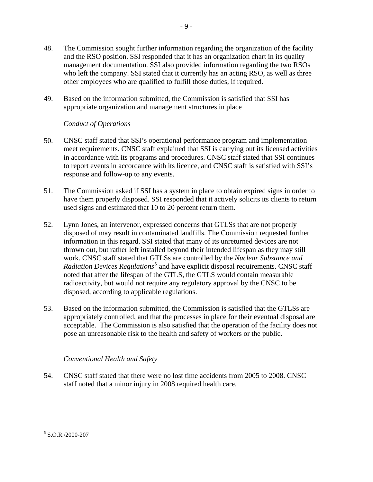- <span id="page-11-0"></span>48. The Commission sought further information regarding the organization of the facility and the RSO position. SSI responded that it has an organization chart in its quality management documentation. SSI also provided information regarding the two RSOs who left the company. SSI stated that it currently has an acting RSO, as well as three other employees who are qualified to fulfill those duties, if required.
- 49. Based on the information submitted, the Commission is satisfied that SSI has appropriate organization and management structures in place

## *Conduct of Operations*

- 50. CNSC staff stated that SSI's operational performance program and implementation meet requirements. CNSC staff explained that SSI is carrying out its licensed activities in accordance with its programs and procedures. CNSC staff stated that SSI continues to report events in accordance with its licence, and CNSC staff is satisfied with SSI's response and follow-up to any events.
- 51. The Commission asked if SSI has a system in place to obtain expired signs in order to have them properly disposed. SSI responded that it actively solicits its clients to return used signs and estimated that 10 to 20 percent return them.
- 52. Lynn Jones, an intervenor, expressed concerns that GTLSs that are not properly disposed of may result in contaminated landfills. The Commission requested further information in this regard. SSI stated that many of its unreturned devices are not thrown out, but rather left installed beyond their intended lifespan as they may still work. CNSC staff stated that GTLSs are controlled by the *Nuclear Substance and*  Radiation Devices Regulations<sup>[5](#page-11-1)</sup> and have explicit disposal requirements. CNSC staff noted that after the lifespan of the GTLS, the GTLS would contain measurable radioactivity, but would not require any regulatory approval by the CNSC to be disposed, according to applicable regulations.
- 53. Based on the information submitted, the Commission is satisfied that the GTLSs are appropriately controlled, and that the processes in place for their eventual disposal are acceptable. The Commission is also satisfied that the operation of the facility does not pose an unreasonable risk to the health and safety of workers or the public.

## *Conventional Health and Safety*

54. CNSC staff stated that there were no lost time accidents from 2005 to 2008. CNSC staff noted that a minor injury in 2008 required health care.

<span id="page-11-1"></span><sup>5</sup> S.O.R./2000-207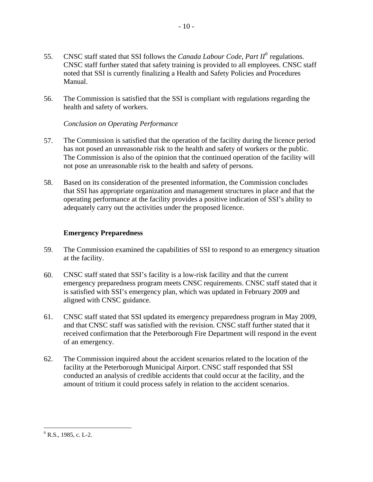- <span id="page-12-0"></span>55. CNSC staff stated that SSI follows the *Canada Labour Code, Part II*<sup>[6](#page-12-1)</sup> regulations. CNSC staff further stated that safety training is provided to all employees. CNSC staff noted that SSI is currently finalizing a Health and Safety Policies and Procedures Manual.
- 56. The Commission is satisfied that the SSI is compliant with regulations regarding the health and safety of workers.

#### *Conclusion on Operating Performance*

- 57. The Commission is satisfied that the operation of the facility during the licence period has not posed an unreasonable risk to the health and safety of workers or the public. The Commission is also of the opinion that the continued operation of the facility will not pose an unreasonable risk to the health and safety of persons.
- 58. Based on its consideration of the presented information, the Commission concludes that SSI has appropriate organization and management structures in place and that the operating performance at the facility provides a positive indication of SSI's ability to adequately carry out the activities under the proposed licence.

## **Emergency Preparedness**

- 59. The Commission examined the capabilities of SSI to respond to an emergency situation at the facility.
- 60. CNSC staff stated that SSI's facility is a low-risk facility and that the current emergency preparedness program meets CNSC requirements. CNSC staff stated that it is satisfied with SSI's emergency plan, which was updated in February 2009 and aligned with CNSC guidance.
- 61. CNSC staff stated that SSI updated its emergency preparedness program in May 2009, and that CNSC staff was satisfied with the revision. CNSC staff further stated that it received confirmation that the Peterborough Fire Department will respond in the event of an emergency.
- 62. The Commission inquired about the accident scenarios related to the location of the facility at the Peterborough Municipal Airport. CNSC staff responded that SSI conducted an analysis of credible accidents that could occur at the facility, and the amount of tritium it could process safely in relation to the accident scenarios.

<span id="page-12-1"></span> $\overline{a}$  $6$  R.S., 1985, c. L-2.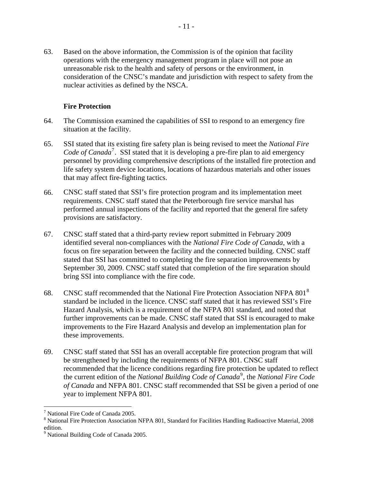<span id="page-13-0"></span>63. Based on the above information, the Commission is of the opinion that facility operations with the emergency management program in place will not pose an unreasonable risk to the health and safety of persons or the environment, in consideration of the CNSC's mandate and jurisdiction with respect to safety from the nuclear activities as defined by the NSCA.

#### **Fire Protection**

- 64. The Commission examined the capabilities of SSI to respond to an emergency fire situation at the facility.
- 65. SSI stated that its existing fire safety plan is being revised to meet the *National Fire*  Code of Canada<sup>[7](#page-13-1)</sup>. SSI stated that it is developing a pre-fire plan to aid emergency personnel by providing comprehensive descriptions of the installed fire protection and life safety system device locations, locations of hazardous materials and other issues that may affect fire-fighting tactics.
- 66. CNSC staff stated that SSI's fire protection program and its implementation meet requirements. CNSC staff stated that the Peterborough fire service marshal has performed annual inspections of the facility and reported that the general fire safety provisions are satisfactory.
- 67. CNSC staff stated that a third-party review report submitted in February 2009 identified several non-compliances with the *National Fire Code of Canada*, with a focus on fire separation between the facility and the connected building. CNSC staff stated that SSI has committed to completing the fire separation improvements by September 30, 2009. CNSC staff stated that completion of the fire separation should bring SSI into compliance with the fire code.
- 6[8](#page-13-2). CNSC staff recommended that the National Fire Protection Association NFPA  $801<sup>8</sup>$ standard be included in the licence. CNSC staff stated that it has reviewed SSI's Fire Hazard Analysis, which is a requirement of the NFPA 801 standard, and noted that further improvements can be made. CNSC staff stated that SSI is encouraged to make improvements to the Fire Hazard Analysis and develop an implementation plan for these improvements.
- 69. CNSC staff stated that SSI has an overall acceptable fire protection program that will be strengthened by including the requirements of NFPA 801. CNSC staff recommended that the licence conditions regarding fire protection be updated to reflect the current edition of the *National Building Code of Canada*<sup>[9](#page-13-3)</sup>, the *National Fire Code of Canada* and NFPA 801. CNSC staff recommended that SSI be given a period of one year to implement NFPA 801.

<span id="page-13-1"></span><sup>7</sup> National Fire Code of Canada 2005.

<span id="page-13-2"></span><sup>&</sup>lt;sup>8</sup> National Fire Protection Association NFPA 801, Standard for Facilities Handling Radioactive Material, 2008 edition.

<span id="page-13-3"></span><sup>&</sup>lt;sup>9</sup> National Building Code of Canada 2005.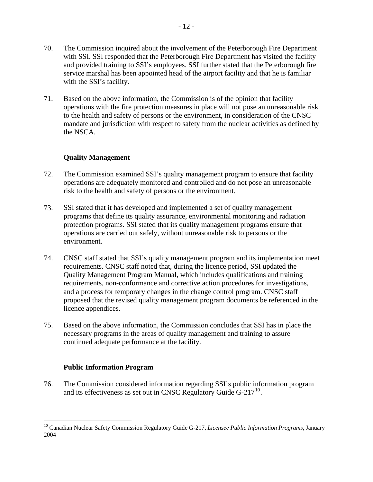- <span id="page-14-0"></span>70. The Commission inquired about the involvement of the Peterborough Fire Department with SSI. SSI responded that the Peterborough Fire Department has visited the facility and provided training to SSI's employees. SSI further stated that the Peterborough fire service marshal has been appointed head of the airport facility and that he is familiar with the SSI's facility.
- 71. Based on the above information, the Commission is of the opinion that facility operations with the fire protection measures in place will not pose an unreasonable risk to the health and safety of persons or the environment, in consideration of the CNSC mandate and jurisdiction with respect to safety from the nuclear activities as defined by the NSCA.

## **Quality Management**

- 72. The Commission examined SSI's quality management program to ensure that facility operations are adequately monitored and controlled and do not pose an unreasonable risk to the health and safety of persons or the environment.
- 73. SSI stated that it has developed and implemented a set of quality management programs that define its quality assurance, environmental monitoring and radiation protection programs. SSI stated that its quality management programs ensure that operations are carried out safely, without unreasonable risk to persons or the environment.
- 74. CNSC staff stated that SSI's quality management program and its implementation meet requirements. CNSC staff noted that, during the licence period, SSI updated the Quality Management Program Manual, which includes qualifications and training requirements, non-conformance and corrective action procedures for investigations, and a process for temporary changes in the change control program. CNSC staff proposed that the revised quality management program documents be referenced in the licence appendices.
- 75. Based on the above information, the Commission concludes that SSI has in place the necessary programs in the areas of quality management and training to assure continued adequate performance at the facility.

## **Public Information Program**

 $\overline{a}$ 

76. The Commission considered information regarding SSI's public information program and its effectiveness as set out in CNSC Regulatory Guide  $G-217^{10}$  $G-217^{10}$  $G-217^{10}$ .

<span id="page-14-1"></span><sup>10</sup> Canadian Nuclear Safety Commission Regulatory Guide G-217, *Licensee Public Information Programs*, January 2004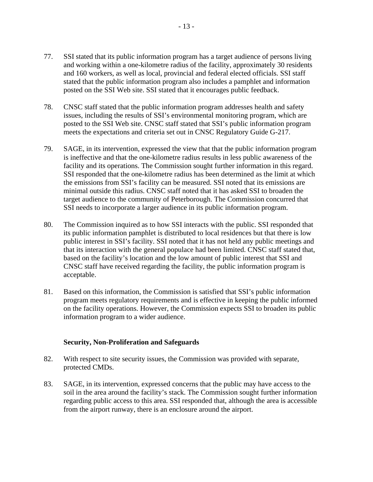- <span id="page-15-0"></span>77. SSI stated that its public information program has a target audience of persons living and working within a one-kilometre radius of the facility, approximately 30 residents and 160 workers, as well as local, provincial and federal elected officials. SSI staff stated that the public information program also includes a pamphlet and information posted on the SSI Web site. SSI stated that it encourages public feedback.
- 78. CNSC staff stated that the public information program addresses health and safety issues, including the results of SSI's environmental monitoring program, which are posted to the SSI Web site. CNSC staff stated that SSI's public information program meets the expectations and criteria set out in CNSC Regulatory Guide G-217.
- 79. SAGE, in its intervention, expressed the view that that the public information program is ineffective and that the one-kilometre radius results in less public awareness of the facility and its operations. The Commission sought further information in this regard. SSI responded that the one-kilometre radius has been determined as the limit at which the emissions from SSI's facility can be measured. SSI noted that its emissions are minimal outside this radius. CNSC staff noted that it has asked SSI to broaden the target audience to the community of Peterborough. The Commission concurred that SSI needs to incorporate a larger audience in its public information program.
- 80. The Commission inquired as to how SSI interacts with the public. SSI responded that its public information pamphlet is distributed to local residences but that there is low public interest in SSI's facility. SSI noted that it has not held any public meetings and that its interaction with the general populace had been limited. CNSC staff stated that, based on the facility's location and the low amount of public interest that SSI and CNSC staff have received regarding the facility, the public information program is acceptable.
- 81. Based on this information, the Commission is satisfied that SSI's public information program meets regulatory requirements and is effective in keeping the public informed on the facility operations. However, the Commission expects SSI to broaden its public information program to a wider audience.

#### **Security, Non-Proliferation and Safeguards**

- 82. With respect to site security issues, the Commission was provided with separate, protected CMDs.
- 83. SAGE, in its intervention, expressed concerns that the public may have access to the soil in the area around the facility's stack. The Commission sought further information regarding public access to this area. SSI responded that, although the area is accessible from the airport runway, there is an enclosure around the airport.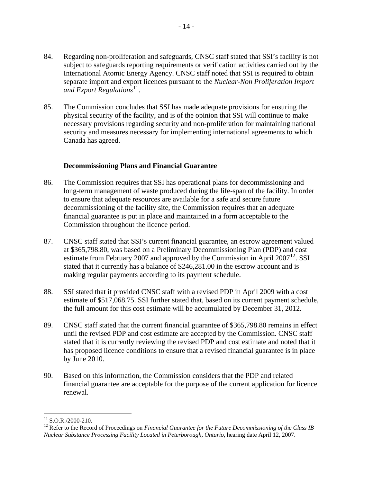- <span id="page-16-0"></span>84. Regarding non-proliferation and safeguards, CNSC staff stated that SSI's facility is not subject to safeguards reporting requirements or verification activities carried out by the International Atomic Energy Agency. CNSC staff noted that SSI is required to obtain separate import and export licences pursuant to the *Nuclear-Non Proliferation Import and Export Regulations*<sup>[11](#page-16-1)</sup>.
- 85. The Commission concludes that SSI has made adequate provisions for ensuring the physical security of the facility, and is of the opinion that SSI will continue to make necessary provisions regarding security and non-proliferation for maintaining national security and measures necessary for implementing international agreements to which Canada has agreed.

#### **Decommissioning Plans and Financial Guarantee**

- 86. The Commission requires that SSI has operational plans for decommissioning and long-term management of waste produced during the life-span of the facility. In order to ensure that adequate resources are available for a safe and secure future decommissioning of the facility site, the Commission requires that an adequate financial guarantee is put in place and maintained in a form acceptable to the Commission throughout the licence period.
- 87. CNSC staff stated that SSI's current financial guarantee, an escrow agreement valued at \$365,798.80, was based on a Preliminary Decommissioning Plan (PDP) and cost estimate from February 2007 and approved by the Commission in April  $2007^{12}$  $2007^{12}$  $2007^{12}$ . SSI stated that it currently has a balance of \$246,281.00 in the escrow account and is making regular payments according to its payment schedule.
- 88. SSI stated that it provided CNSC staff with a revised PDP in April 2009 with a cost estimate of \$517,068.75. SSI further stated that, based on its current payment schedule, the full amount for this cost estimate will be accumulated by December 31, 2012.
- 89. CNSC staff stated that the current financial guarantee of \$365,798.80 remains in effect until the revised PDP and cost estimate are accepted by the Commission. CNSC staff stated that it is currently reviewing the revised PDP and cost estimate and noted that it has proposed licence conditions to ensure that a revised financial guarantee is in place by June 2010.
- 90. Based on this information, the Commission considers that the PDP and related financial guarantee are acceptable for the purpose of the current application for licence renewal.

<sup>1</sup>  $11$  S.O.R./2000-210.

<span id="page-16-2"></span><span id="page-16-1"></span><sup>&</sup>lt;sup>12</sup> Refer to the Record of Proceedings on *Financial Guarantee for the Future Decommissioning of the Class IB Nuclear Substance Processing Facility Located in Peterborough, Ontario*, hearing date April 12, 2007.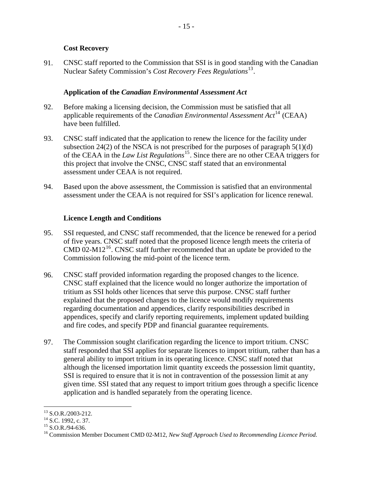#### **Cost Recovery**

<span id="page-17-0"></span>91. CNSC staff reported to the Commission that SSI is in good standing with the Canadian Nuclear Safety Commission's *Cost Recovery Fees Regulations*[13](#page-17-1).

#### **Application of the** *Canadian Environmental Assessment Act*

- 92. Before making a licensing decision, the Commission must be satisfied that all applicable requirements of the *Canadian Environmental Assessment Act*[14](#page-17-2) (CEAA) have been fulfilled.
- 93. CNSC staff indicated that the application to renew the licence for the facility under subsection 24(2) of the NSCA is not prescribed for the purposes of paragraph  $5(1)(d)$ of the CEAA in the *Law List Regulations*[15](#page-17-3). Since there are no other CEAA triggers for this project that involve the CNSC, CNSC staff stated that an environmental assessment under CEAA is not required.
- 94. Based upon the above assessment, the Commission is satisfied that an environmental assessment under the CEAA is not required for SSI's application for licence renewal.

#### **Licence Length and Conditions**

- 95. SSI requested, and CNSC staff recommended, that the licence be renewed for a period of five years. CNSC staff noted that the proposed licence length meets the criteria of CMD 02-M12<sup>[16](#page-17-4)</sup>. CNSC staff further recommended that an update be provided to the Commission following the mid-point of the licence term.
- 96. CNSC staff provided information regarding the proposed changes to the licence. CNSC staff explained that the licence would no longer authorize the importation of tritium as SSI holds other licences that serve this purpose. CNSC staff further explained that the proposed changes to the licence would modify requirements regarding documentation and appendices, clarify responsibilities described in appendices, specify and clarify reporting requirements, implement updated building and fire codes, and specify PDP and financial guarantee requirements.
- 97. The Commission sought clarification regarding the licence to import tritium. CNSC staff responded that SSI applies for separate licences to import tritium, rather than has a general ability to import tritium in its operating licence. CNSC staff noted that although the licensed importation limit quantity exceeds the possession limit quantity, SSI is required to ensure that it is not in contravention of the possession limit at any given time. SSI stated that any request to import tritium goes through a specific licence application and is handled separately from the operating licence.

 $\overline{a}$ <sup>13</sup> S.O.R./2003-212.

<span id="page-17-2"></span><span id="page-17-1"></span><sup>&</sup>lt;sup>14</sup> S.C. 1992, c. 37.

<span id="page-17-3"></span><sup>15</sup> S.O.R./94-636.

<span id="page-17-4"></span><sup>16</sup> Commission Member Document CMD 02-M12, *New Staff Approach Used to Recommending Licence Period*.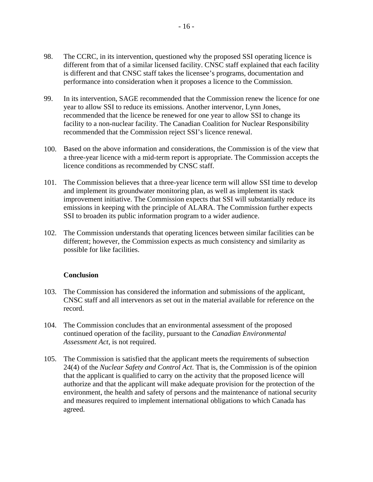- <span id="page-18-0"></span>98. The CCRC, in its intervention, questioned why the proposed SSI operating licence is different from that of a similar licensed facility. CNSC staff explained that each facility is different and that CNSC staff takes the licensee's programs, documentation and performance into consideration when it proposes a licence to the Commission.
- 99. In its intervention, SAGE recommended that the Commission renew the licence for one year to allow SSI to reduce its emissions. Another intervenor, Lynn Jones, recommended that the licence be renewed for one year to allow SSI to change its facility to a non-nuclear facility. The Canadian Coalition for Nuclear Responsibility recommended that the Commission reject SSI's licence renewal.
- 100. Based on the above information and considerations, the Commission is of the view that a three-year licence with a mid-term report is appropriate. The Commission accepts the licence conditions as recommended by CNSC staff.
- 101. The Commission believes that a three-year licence term will allow SSI time to develop and implement its groundwater monitoring plan, as well as implement its stack improvement initiative. The Commission expects that SSI will substantially reduce its emissions in keeping with the principle of ALARA. The Commission further expects SSI to broaden its public information program to a wider audience.
- 102. The Commission understands that operating licences between similar facilities can be different; however, the Commission expects as much consistency and similarity as possible for like facilities.

#### **Conclusion**

- 103. The Commission has considered the information and submissions of the applicant, CNSC staff and all intervenors as set out in the material available for reference on the record.
- 104. The Commission concludes that an environmental assessment of the proposed continued operation of the facility, pursuant to the *Canadian Environmental Assessment Act*, is not required.
- 105. The Commission is satisfied that the applicant meets the requirements of subsection 24(4) of the *Nuclear Safety and Control Act*. That is, the Commission is of the opinion that the applicant is qualified to carry on the activity that the proposed licence will authorize and that the applicant will make adequate provision for the protection of the environment, the health and safety of persons and the maintenance of national security and measures required to implement international obligations to which Canada has agreed.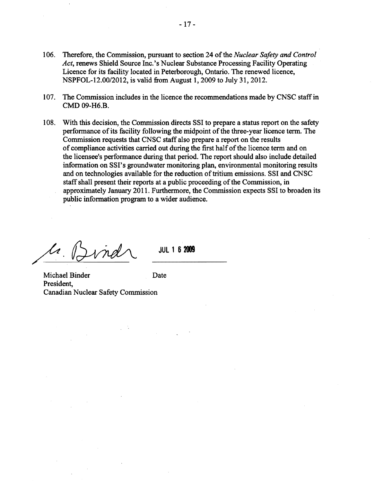- 106. Therefore, the Commission, pursuant to section 24 of the *Nuclear Safety and Control Act,* renews Shield Source Inc. 's Nuclear Substance Processing Facility Operating Licence for its facility located in Peterborough, Ontario. The renewed licence, NSPFOL-12.00/2012, is valid from August 1,2009 to July 31, 2012.
- 107. The Commission includes in the licence the recommendations made by CNSC staff in CMD 09-H6.B.
- 108. With this decision, the Commission directs SSI to prepare a status report on the safety perfonnance of its facility following the midpoint of the three-year licence term. The Commission requests that CNSC staff also prepare a report on the results of compliance activities carried out during the first half of the licence term and on the licensee's perfonnance during that period. The report should also include detailed information on SSI's groundwater monitoring plan, environmental monitoring results and on technologies available for the reduction of tritium emissions. SSI and CNSC staff shall present their reports at a public proceeding of the Commission, in approximately January 2011. Furthermore, the Commission expects SSI to broaden its public information program to a wider audience.

 $\mathcal{U}_\ell$ 

**JUL 1 6 2009** 

Michael Binder President, Canadian Nuclear Safety Commission Date